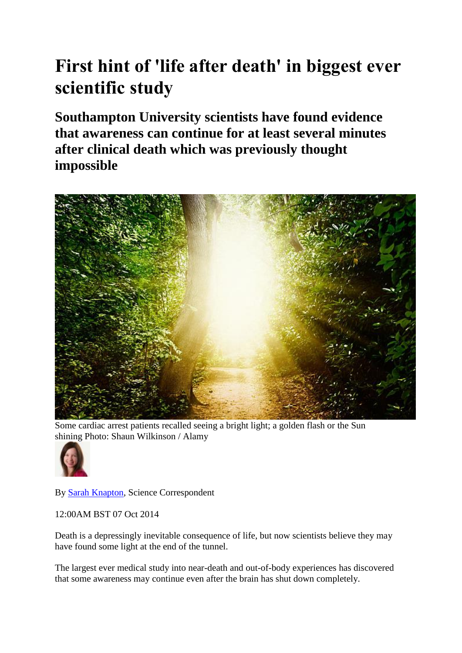## **First hint of 'life after death' in biggest ever scientific study**

**Southampton University scientists have found evidence that awareness can continue for at least several minutes after clinical death which was previously thought impossible** 



Some cardiac arrest patients recalled seeing a bright light; a golden flash or the Sun shining Photo: Shaun Wilkinson / Alamy



By [Sarah Knapton,](http://www.telegraph.co.uk/journalists/sarah-knapton/) Science Correspondent

12:00AM BST 07 Oct 2014

Death is a depressingly inevitable consequence of life, but now scientists believe they may have found some light at the end of the tunnel.

The largest ever medical study into near-death and out-of-body experiences has discovered that some awareness may continue even after the brain has shut down completely.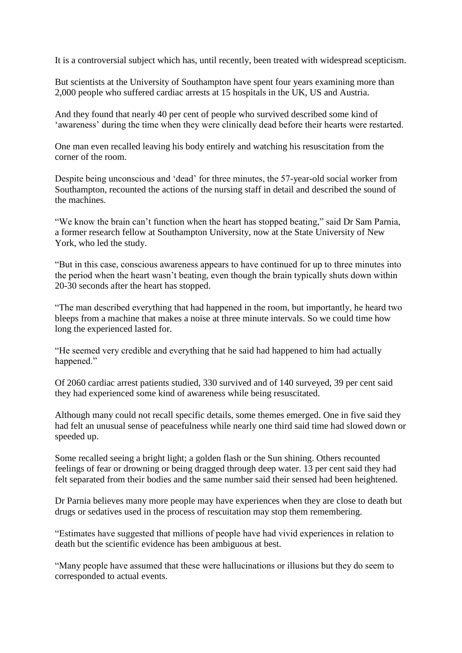It is a controversial subject which has, until recently, been treated with widespread scepticism.

But scientists at the University of Southampton have spent four years examining more than 2,000 people who suffered cardiac arrests at 15 hospitals in the UK, US and Austria.

And they found that nearly 40 per cent of people who survived described some kind of 'awareness' during the time when they were clinically dead before their hearts were restarted.

One man even recalled leaving his body entirely and watching his resuscitation from the corner of the room.

Despite being unconscious and 'dead' for three minutes, the 57-year-old social worker from Southampton, recounted the actions of the nursing staff in detail and described the sound of the machines.

"We know the brain can't function when the heart has stopped beating," said Dr Sam Parnia, a former research fellow at Southampton University, now at the State University of New York, who led the study.

"But in this case, conscious awareness appears to have continued for up to three minutes into the period when the heart wasn't beating, even though the brain typically shuts down within 20-30 seconds after the heart has stopped.

"The man described everything that had happened in the room, but importantly, he heard two bleeps from a machine that makes a noise at three minute intervals. So we could time how long the experienced lasted for.

"He seemed very credible and everything that he said had happened to him had actually happened."

Of 2060 cardiac arrest patients studied, 330 survived and of 140 surveyed, 39 per cent said they had experienced some kind of awareness while being resuscitated.

Although many could not recall specific details, some themes emerged. One in five said they had felt an unusual sense of peacefulness while nearly one third said time had slowed down or speeded up.

Some recalled seeing a bright light; a golden flash or the Sun shining. Others recounted feelings of fear or drowning or being dragged through deep water. 13 per cent said they had felt separated from their bodies and the same number said their sensed had been heightened.

Dr Parnia believes many more people may have experiences when they are close to death but drugs or sedatives used in the process of rescuitation may stop them remembering.

"Estimates have suggested that millions of people have had vivid experiences in relation to death but the scientific evidence has been ambiguous at best.

"Many people have assumed that these were hallucinations or illusions but they do seem to corresponded to actual events.